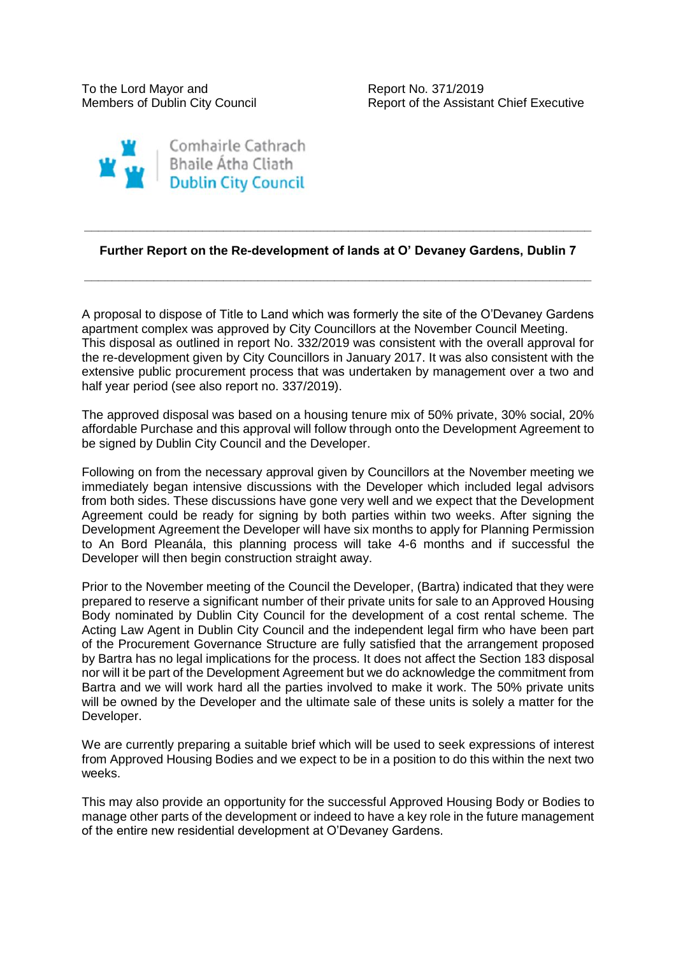To the Lord Mayor and The Report No. 371/2019

Members of Dublin City Council **Report of the Assistant Chief Executive** 



## **Further Report on the Re-development of lands at O' Devaney Gardens, Dublin 7**

**\_\_\_\_\_\_\_\_\_\_\_\_\_\_\_\_\_\_\_\_\_\_\_\_\_\_\_\_\_\_\_\_\_\_\_\_\_\_\_\_\_\_\_\_\_\_\_\_\_\_\_\_\_\_\_\_\_\_\_\_\_\_\_\_\_\_\_\_\_\_\_\_\_**

**\_\_\_\_\_\_\_\_\_\_\_\_\_\_\_\_\_\_\_\_\_\_\_\_\_\_\_\_\_\_\_\_\_\_\_\_\_\_\_\_\_\_\_\_\_\_\_\_\_\_\_\_\_\_\_\_\_\_\_\_\_\_\_\_\_\_\_\_\_\_\_\_\_**

A proposal to dispose of Title to Land which was formerly the site of the O'Devaney Gardens apartment complex was approved by City Councillors at the November Council Meeting. This disposal as outlined in report No. 332/2019 was consistent with the overall approval for the re-development given by City Councillors in January 2017. It was also consistent with the extensive public procurement process that was undertaken by management over a two and half year period (see also report no. 337/2019).

The approved disposal was based on a housing tenure mix of 50% private, 30% social, 20% affordable Purchase and this approval will follow through onto the Development Agreement to be signed by Dublin City Council and the Developer.

Following on from the necessary approval given by Councillors at the November meeting we immediately began intensive discussions with the Developer which included legal advisors from both sides. These discussions have gone very well and we expect that the Development Agreement could be ready for signing by both parties within two weeks. After signing the Development Agreement the Developer will have six months to apply for Planning Permission to An Bord Pleanála, this planning process will take 4-6 months and if successful the Developer will then begin construction straight away.

Prior to the November meeting of the Council the Developer, (Bartra) indicated that they were prepared to reserve a significant number of their private units for sale to an Approved Housing Body nominated by Dublin City Council for the development of a cost rental scheme. The Acting Law Agent in Dublin City Council and the independent legal firm who have been part of the Procurement Governance Structure are fully satisfied that the arrangement proposed by Bartra has no legal implications for the process. It does not affect the Section 183 disposal nor will it be part of the Development Agreement but we do acknowledge the commitment from Bartra and we will work hard all the parties involved to make it work. The 50% private units will be owned by the Developer and the ultimate sale of these units is solely a matter for the Developer.

We are currently preparing a suitable brief which will be used to seek expressions of interest from Approved Housing Bodies and we expect to be in a position to do this within the next two weeks.

This may also provide an opportunity for the successful Approved Housing Body or Bodies to manage other parts of the development or indeed to have a key role in the future management of the entire new residential development at O'Devaney Gardens.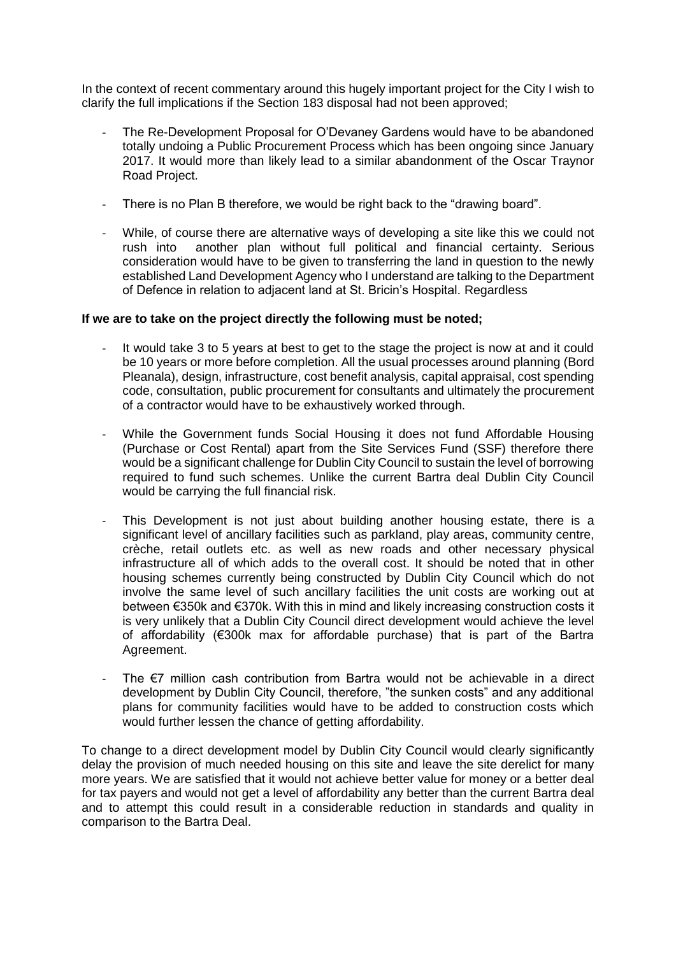In the context of recent commentary around this hugely important project for the City I wish to clarify the full implications if the Section 183 disposal had not been approved;

- The Re-Development Proposal for O'Devaney Gardens would have to be abandoned totally undoing a Public Procurement Process which has been ongoing since January 2017. It would more than likely lead to a similar abandonment of the Oscar Traynor Road Project.
- There is no Plan B therefore, we would be right back to the "drawing board".
- While, of course there are alternative ways of developing a site like this we could not rush into another plan without full political and financial certainty. Serious consideration would have to be given to transferring the land in question to the newly established Land Development Agency who I understand are talking to the Department of Defence in relation to adjacent land at St. Bricin's Hospital. Regardless

## **If we are to take on the project directly the following must be noted;**

- It would take 3 to 5 years at best to get to the stage the project is now at and it could be 10 years or more before completion. All the usual processes around planning (Bord Pleanala), design, infrastructure, cost benefit analysis, capital appraisal, cost spending code, consultation, public procurement for consultants and ultimately the procurement of a contractor would have to be exhaustively worked through.
- While the Government funds Social Housing it does not fund Affordable Housing (Purchase or Cost Rental) apart from the Site Services Fund (SSF) therefore there would be a significant challenge for Dublin City Council to sustain the level of borrowing required to fund such schemes. Unlike the current Bartra deal Dublin City Council would be carrying the full financial risk.
- This Development is not just about building another housing estate, there is a significant level of ancillary facilities such as parkland, play areas, community centre, crèche, retail outlets etc. as well as new roads and other necessary physical infrastructure all of which adds to the overall cost. It should be noted that in other housing schemes currently being constructed by Dublin City Council which do not involve the same level of such ancillary facilities the unit costs are working out at between €350k and €370k. With this in mind and likely increasing construction costs it is very unlikely that a Dublin City Council direct development would achieve the level of affordability (€300k max for affordable purchase) that is part of the Bartra Agreement.
- The  $\epsilon$ 7 million cash contribution from Bartra would not be achievable in a direct development by Dublin City Council, therefore, "the sunken costs" and any additional plans for community facilities would have to be added to construction costs which would further lessen the chance of getting affordability.

To change to a direct development model by Dublin City Council would clearly significantly delay the provision of much needed housing on this site and leave the site derelict for many more years. We are satisfied that it would not achieve better value for money or a better deal for tax payers and would not get a level of affordability any better than the current Bartra deal and to attempt this could result in a considerable reduction in standards and quality in comparison to the Bartra Deal.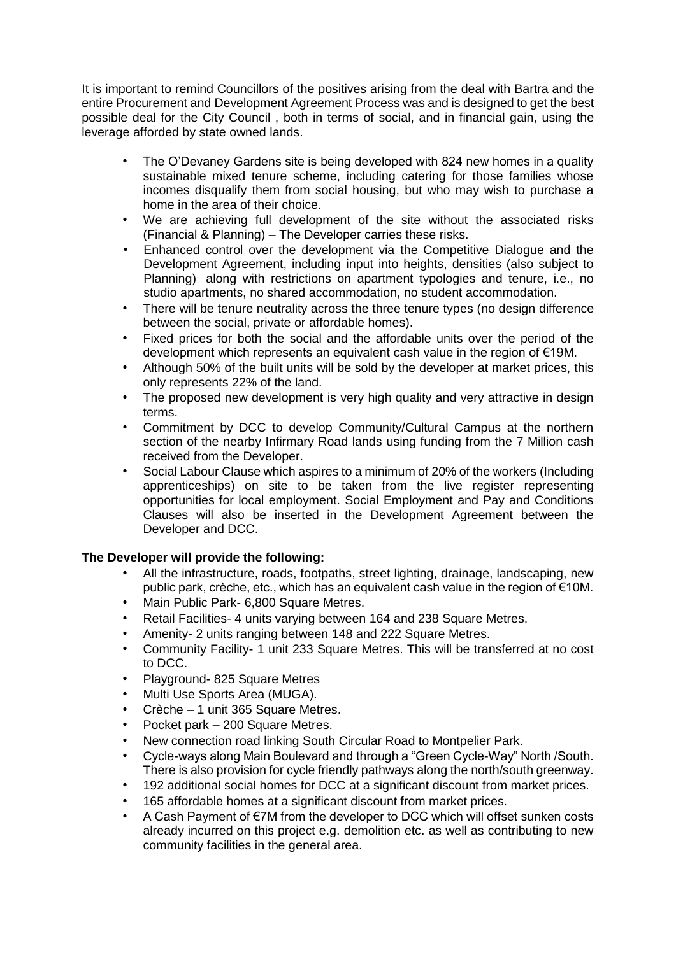It is important to remind Councillors of the positives arising from the deal with Bartra and the entire Procurement and Development Agreement Process was and is designed to get the best possible deal for the City Council , both in terms of social, and in financial gain, using the leverage afforded by state owned lands.

- The O'Devaney Gardens site is being developed with 824 new homes in a quality sustainable mixed tenure scheme, including catering for those families whose incomes disqualify them from social housing, but who may wish to purchase a home in the area of their choice.
- We are achieving full development of the site without the associated risks (Financial & Planning) – The Developer carries these risks.
- Enhanced control over the development via the Competitive Dialogue and the Development Agreement, including input into heights, densities (also subject to Planning) along with restrictions on apartment typologies and tenure, i.e., no studio apartments, no shared accommodation, no student accommodation.
- There will be tenure neutrality across the three tenure types (no design difference between the social, private or affordable homes).
- Fixed prices for both the social and the affordable units over the period of the development which represents an equivalent cash value in the region of €19M.
- Although 50% of the built units will be sold by the developer at market prices, this only represents 22% of the land.
- The proposed new development is very high quality and very attractive in design terms.
- Commitment by DCC to develop Community/Cultural Campus at the northern section of the nearby Infirmary Road lands using funding from the 7 Million cash received from the Developer.
- Social Labour Clause which aspires to a minimum of 20% of the workers (Including apprenticeships) on site to be taken from the live register representing opportunities for local employment. Social Employment and Pay and Conditions Clauses will also be inserted in the Development Agreement between the Developer and DCC.

## **The Developer will provide the following:**

- All the infrastructure, roads, footpaths, street lighting, drainage, landscaping, new public park, crèche, etc., which has an equivalent cash value in the region of €10M.
- Main Public Park- 6,800 Square Metres.
- Retail Facilities- 4 units varying between 164 and 238 Square Metres.
- Amenity- 2 units ranging between 148 and 222 Square Metres.
- Community Facility- 1 unit 233 Square Metres. This will be transferred at no cost to DCC.
- Playground- 825 Square Metres
- Multi Use Sports Area (MUGA).
- Crèche 1 unit 365 Square Metres.
- Pocket park 200 Square Metres.
- New connection road linking South Circular Road to Montpelier Park.
- Cycle-ways along Main Boulevard and through a "Green Cycle-Way" North /South. There is also provision for cycle friendly pathways along the north/south greenway.
- 192 additional social homes for DCC at a significant discount from market prices.
- 165 affordable homes at a significant discount from market prices.
- A Cash Payment of €7M from the developer to DCC which will offset sunken costs already incurred on this project e.g. demolition etc. as well as contributing to new community facilities in the general area.